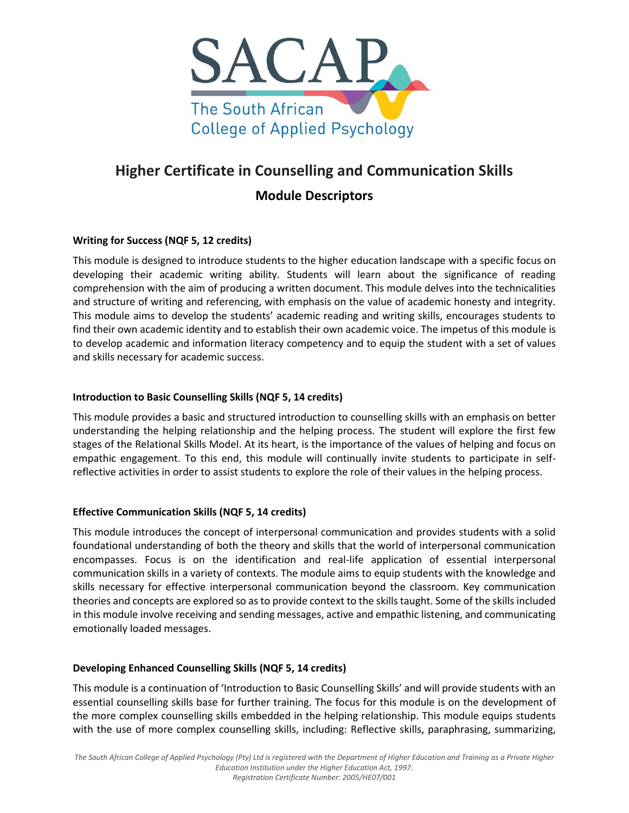

# **Higher Certificate in Counselling and Communication Skills**

# **Module Descriptors**

# **Writing for Success (NQF 5, 12 credits)**

This module is designed to introduce students to the higher education landscape with a specific focus on developing their academic writing ability. Students will learn about the significance of reading comprehension with the aim of producing a written document. This module delves into the technicalities and structure of writing and referencing, with emphasis on the value of academic honesty and integrity. This module aims to develop the students' academic reading and writing skills, encourages students to find their own academic identity and to establish their own academic voice. The impetus of this module is to develop academic and information literacy competency and to equip the student with a set of values and skills necessary for academic success.

#### **Introduction to Basic Counselling Skills (NQF 5, 14 credits)**

This module provides a basic and structured introduction to counselling skills with an emphasis on better understanding the helping relationship and the helping process. The student will explore the first few stages of the Relational Skills Model. At its heart, is the importance of the values of helping and focus on empathic engagement. To this end, this module will continually invite students to participate in selfreflective activities in order to assist students to explore the role of their values in the helping process.

#### **Effective Communication Skills (NQF 5, 14 credits)**

This module introduces the concept of interpersonal communication and provides students with a solid foundational understanding of both the theory and skills that the world of interpersonal communication encompasses. Focus is on the identification and real-life application of essential interpersonal communication skills in a variety of contexts. The module aims to equip students with the knowledge and skills necessary for effective interpersonal communication beyond the classroom. Key communication theories and concepts are explored so as to provide context to the skills taught. Some of the skills included in this module involve receiving and sending messages, active and empathic listening, and communicating emotionally loaded messages.

#### **Developing Enhanced Counselling Skills (NQF 5, 14 credits)**

This module is a continuation of 'Introduction to Basic Counselling Skills' and will provide students with an essential counselling skills base for further training. The focus for this module is on the development of the more complex counselling skills embedded in the helping relationship. This module equips students with the use of more complex counselling skills, including: Reflective skills, paraphrasing, summarizing,